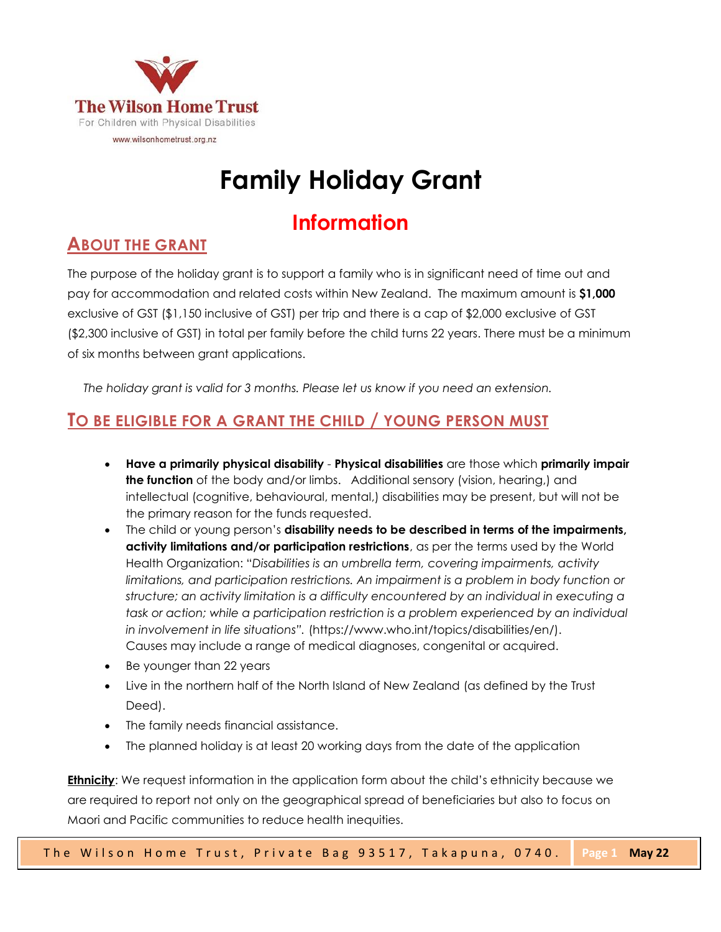

# **Family Holiday Grant**

# **Information**

# **ABOUT THE GRANT**

The purpose of the holiday grant is to support a family who is in significant need of time out and pay for accommodation and related costs within New Zealand. The maximum amount is **\$1,000** exclusive of GST (\$1,150 inclusive of GST) per trip and there is a cap of \$2,000 exclusive of GST (\$2,300 inclusive of GST) in total per family before the child turns 22 years. There must be a minimum of six months between grant applications.

*The holiday grant is valid for 3 months. Please let us know if you need an extension.*

## **TO BE ELIGIBLE FOR A GRANT THE CHILD / YOUNG PERSON MUST**

- **Have a primarily physical disability Physical disabilities** are those which **primarily impair the function** of the body and/or limbs. Additional sensory (vision, hearing,) and intellectual (cognitive, behavioural, mental,) disabilities may be present, but will not be the primary reason for the funds requested.
- The child or young person's **disability needs to be described in terms of the impairments, activity limitations and/or participation restrictions**, as per the terms used by the World Health Organization: "*Disabilities is an umbrella term, covering impairments, activity limitations, and participation restrictions. An impairment is a problem in body function or structure; an activity limitation is a difficulty encountered by an individual in executing a*  task or action; while a participation restriction is a problem experienced by an individual *in involvement in life situations".* (https://www.who.int/topics/disabilities/en/). Causes may include a range of medical diagnoses, congenital or acquired.
- Be younger than 22 years
- Live in the northern half of the North Island of New Zealand (as defined by the Trust Deed).
- The family needs financial assistance.
- The planned holiday is at least 20 working days from the date of the application

**Ethnicity**: We request information in the application form about the child's ethnicity because we are required to report not only on the geographical spread of beneficiaries but also to focus on Maori and Pacific communities to reduce health inequities.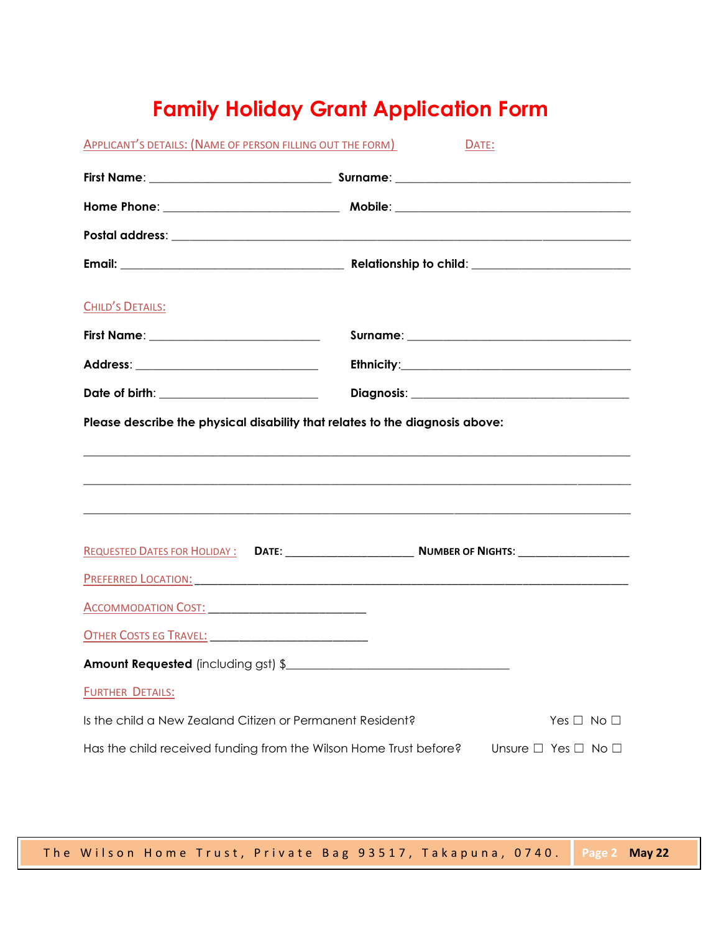# **Family Holiday Grant Application Form**

| APPLICANT'S DETAILS: (NAME OF PERSON FILLING OUT THE FORM)        | DATE:                                                                                                                                                                                                                          |
|-------------------------------------------------------------------|--------------------------------------------------------------------------------------------------------------------------------------------------------------------------------------------------------------------------------|
|                                                                   |                                                                                                                                                                                                                                |
|                                                                   |                                                                                                                                                                                                                                |
|                                                                   |                                                                                                                                                                                                                                |
|                                                                   |                                                                                                                                                                                                                                |
| CHILD'S DETAILS:                                                  |                                                                                                                                                                                                                                |
| First Name: ______________________________                        |                                                                                                                                                                                                                                |
|                                                                   |                                                                                                                                                                                                                                |
| Date of birth: __________________________                         |                                                                                                                                                                                                                                |
|                                                                   | <u> 1989 - Jan James James James James James James James James James James James James James James James James J</u><br><u> 1989 - Johann Stoff, amerikansk politiker (d. 1989)</u>                                            |
|                                                                   |                                                                                                                                                                                                                                |
|                                                                   | PREFERRED LOCATION: The Contract of the Contract of the Contract of the Contract of the Contract of the Contract of the Contract of the Contract of the Contract of the Contract of the Contract of the Contract of the Contra |
| <u>ACCOMMODATION COST: ______________________________</u>         |                                                                                                                                                                                                                                |
|                                                                   |                                                                                                                                                                                                                                |
| Amount Requested (including gst) \$                               |                                                                                                                                                                                                                                |
| <b>FURTHER DETAILS:</b>                                           |                                                                                                                                                                                                                                |
| Is the child a New Zealand Citizen or Permanent Resident?         | Yes $\Box$ No $\Box$                                                                                                                                                                                                           |
| Has the child received funding from the Wilson Home Trust before? | Unsure □ Yes □ No □                                                                                                                                                                                                            |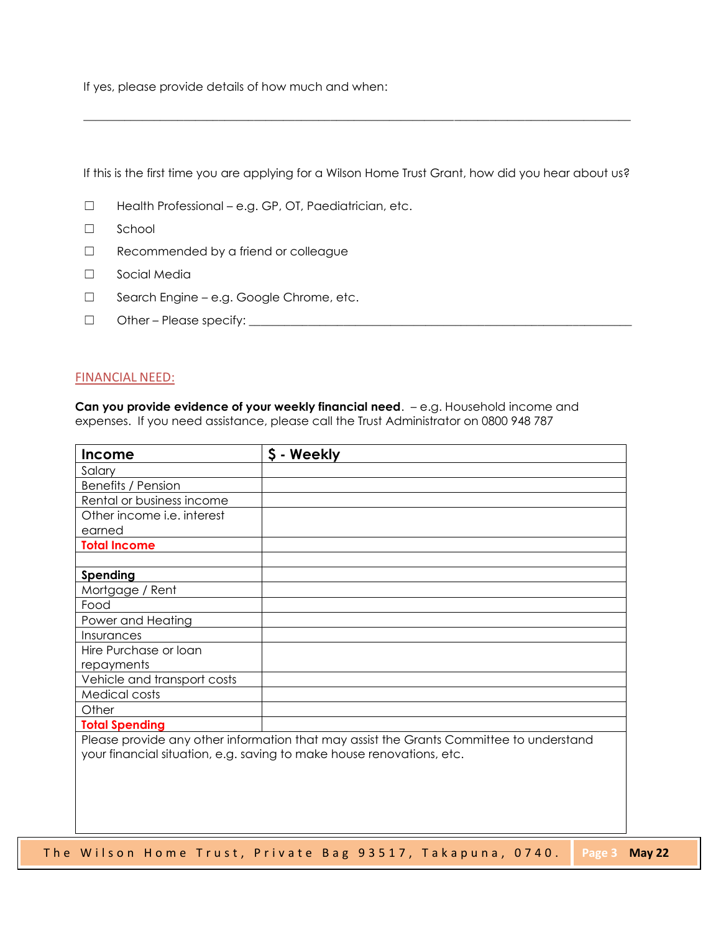If yes, please provide details of how much and when:

If this is the first time you are applying for a Wilson Home Trust Grant, how did you hear about us?

 $\_$  ,  $\_$  ,  $\_$  ,  $\_$  ,  $\_$  ,  $\_$  ,  $\_$  ,  $\_$  ,  $\_$  ,  $\_$  ,  $\_$  ,  $\_$  ,  $\_$  ,  $\_$  ,  $\_$  ,  $\_$  ,  $\_$  ,  $\_$  ,  $\_$  ,  $\_$  ,  $\_$  ,  $\_$  ,  $\_$  ,  $\_$  ,  $\_$  ,  $\_$  ,  $\_$  ,  $\_$  ,  $\_$  ,  $\_$  ,  $\_$  ,  $\_$  ,  $\_$  ,  $\_$  ,  $\_$  ,  $\_$  ,  $\_$  ,

- ☐ Health Professional e.g. GP, OT, Paediatrician, etc.
- ☐ School
- ☐ Recommended by a friend or colleague
- ☐ Social Media
- ☐ Search Engine e.g. Google Chrome, etc.
- ☐ Other Please specify: \_\_\_\_\_\_\_\_\_\_\_\_\_\_\_\_\_\_\_\_\_\_\_\_\_\_\_\_\_\_\_\_\_\_\_\_\_\_\_\_\_\_\_\_\_\_\_\_\_\_\_\_\_\_\_\_\_\_\_\_\_\_\_\_\_

#### FINANCIAL NEED:

**Can you provide evidence of your weekly financial need**. – e.g. Household income and expenses. If you need assistance, please call the Trust Administrator on 0800 948 787

| <b>Income</b>               | \$ - Weekly                                                                                                                                                      |
|-----------------------------|------------------------------------------------------------------------------------------------------------------------------------------------------------------|
| Salary                      |                                                                                                                                                                  |
| <b>Benefits / Pension</b>   |                                                                                                                                                                  |
| Rental or business income   |                                                                                                                                                                  |
| Other income i.e. interest  |                                                                                                                                                                  |
| earned                      |                                                                                                                                                                  |
| <b>Total Income</b>         |                                                                                                                                                                  |
| Spending                    |                                                                                                                                                                  |
| Mortgage / Rent             |                                                                                                                                                                  |
| Food                        |                                                                                                                                                                  |
| Power and Heating           |                                                                                                                                                                  |
| Insurances                  |                                                                                                                                                                  |
| Hire Purchase or loan       |                                                                                                                                                                  |
| repayments                  |                                                                                                                                                                  |
| Vehicle and transport costs |                                                                                                                                                                  |
| Medical costs               |                                                                                                                                                                  |
| Other                       |                                                                                                                                                                  |
| <b>Total Spending</b>       |                                                                                                                                                                  |
|                             | Please provide any other information that may assist the Grants Committee to understand<br>your financial situation, e.g. saving to make house renovations, etc. |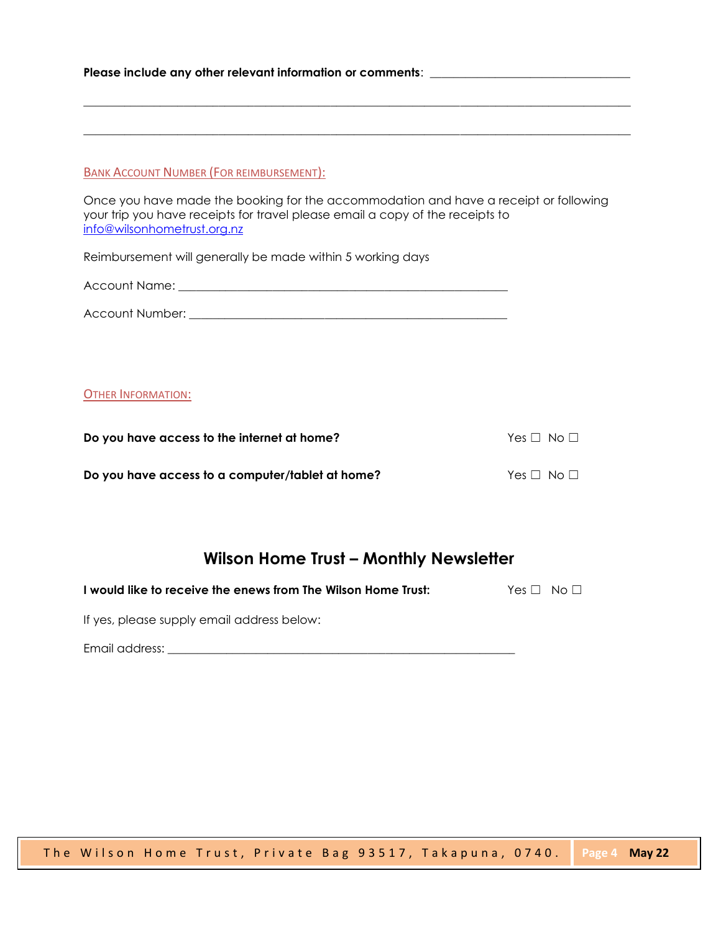Please include any other relevant information or comments: \_\_\_\_\_\_\_\_\_\_\_\_\_\_\_\_\_\_\_\_\_

#### BANK ACCOUNT NUMBER (FOR REIMBURSEMENT):

Once you have made the booking for the accommodation and have a receipt or following your trip you have receipts for travel please email a copy of the receipts to [info@wilsonhometrust.org.nz](mailto:info@wilsonhometrust.org.nz)

\_\_\_\_\_\_\_\_\_\_\_\_\_\_\_\_\_\_\_\_\_\_\_\_\_\_\_\_\_\_\_\_\_\_\_\_\_\_\_\_\_\_\_\_\_\_\_\_\_\_\_\_\_\_\_\_\_\_\_\_\_\_\_\_\_\_\_\_\_\_\_\_\_\_\_\_\_\_\_\_\_\_\_\_\_\_\_\_\_\_\_\_\_

\_\_\_\_\_\_\_\_\_\_\_\_\_\_\_\_\_\_\_\_\_\_\_\_\_\_\_\_\_\_\_\_\_\_\_\_\_\_\_\_\_\_\_\_\_\_\_\_\_\_\_\_\_\_\_\_\_\_\_\_\_\_\_\_\_\_\_\_\_\_\_\_\_\_\_\_\_\_\_\_\_\_\_\_\_\_\_\_\_\_\_\_\_

Reimbursement will generally be made within 5 working days

| Account Name: |  |
|---------------|--|
|               |  |

| Account Number: |  |
|-----------------|--|
|                 |  |

#### OTHER INFORMATION:

| Do you have access to the internet at home?      | Yes $\Box$ No $\Box$ |  |
|--------------------------------------------------|----------------------|--|
| Do you have access to a computer/tablet at home? | Yes $\Box$ No $\Box$ |  |

### **Wilson Home Trust – Monthly Newsletter**

**I would like to receive the enews from The Wilson Home Trust:** Yes □ No □

If yes, please supply email address below:

Email address: **Email address:**  $\overline{a}$